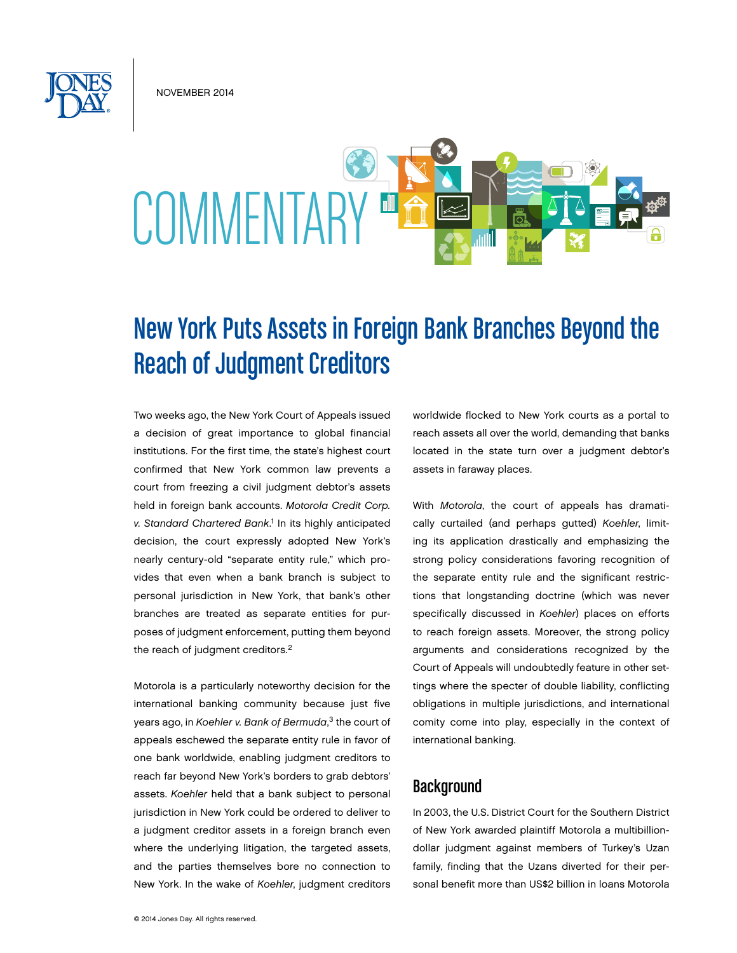November 2014



# New York Puts Assets in Foreign Bank Branches Beyond the Reach of Judgment Creditors

Two weeks ago, the New York Court of Appeals issued a decision of great importance to global financial institutions. For the first time, the state's highest court confirmed that New York common law prevents a court from freezing a civil judgment debtor's assets held in foreign bank accounts. *Motorola Credit Corp.*  v. Standard Chartered Bank.<sup>1</sup> In its highly anticipated decision, the court expressly adopted New York's nearly century-old "separate entity rule," which provides that even when a bank branch is subject to personal jurisdiction in New York, that bank's other branches are treated as separate entities for purposes of judgment enforcement, putting them beyond the reach of judgment creditors.<sup>2</sup>

Motorola is a particularly noteworthy decision for the international banking community because just five years ago, in *Koehler v. Bank of Bermuda*, 3 the court of appeals eschewed the separate entity rule in favor of one bank worldwide, enabling judgment creditors to reach far beyond New York's borders to grab debtors' assets. *Koehler* held that a bank subject to personal jurisdiction in New York could be ordered to deliver to a judgment creditor assets in a foreign branch even where the underlying litigation, the targeted assets, and the parties themselves bore no connection to New York. In the wake of *Koehler*, judgment creditors

worldwide flocked to New York courts as a portal to reach assets all over the world, demanding that banks located in the state turn over a judgment debtor's assets in faraway places.

With *Motorola*, the court of appeals has dramatically curtailed (and perhaps gutted) *Koehler*, limiting its application drastically and emphasizing the strong policy considerations favoring recognition of the separate entity rule and the significant restrictions that longstanding doctrine (which was never specifically discussed in *Koehler*) places on efforts to reach foreign assets. Moreover, the strong policy arguments and considerations recognized by the Court of Appeals will undoubtedly feature in other settings where the specter of double liability, conflicting obligations in multiple jurisdictions, and international comity come into play, especially in the context of international banking.

### **Background**

In 2003, the U.S. District Court for the Southern District of New York awarded plaintiff Motorola a multibilliondollar judgment against members of Turkey's Uzan family, finding that the Uzans diverted for their personal benefit more than US\$2 billion in loans Motorola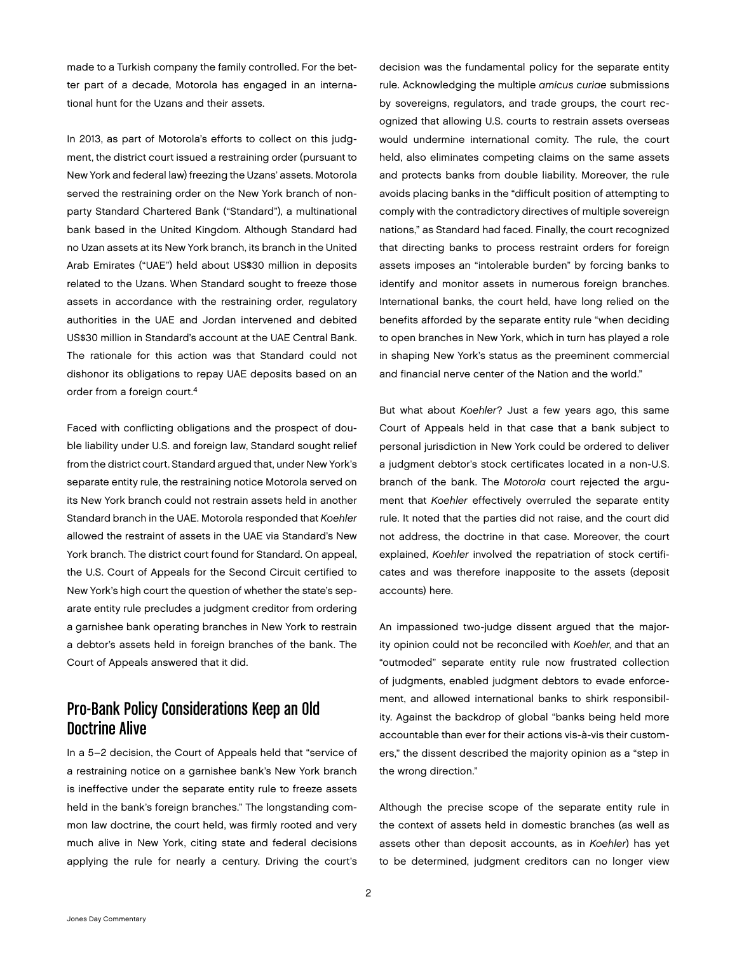made to a Turkish company the family controlled. For the better part of a decade, Motorola has engaged in an international hunt for the Uzans and their assets.

In 2013, as part of Motorola's efforts to collect on this judgment, the district court issued a restraining order (pursuant to New York and federal law) freezing the Uzans' assets. Motorola served the restraining order on the New York branch of nonparty Standard Chartered Bank ("Standard"), a multinational bank based in the United Kingdom. Although Standard had no Uzan assets at its New York branch, its branch in the United Arab Emirates ("UAE") held about US\$30 million in deposits related to the Uzans. When Standard sought to freeze those assets in accordance with the restraining order, regulatory authorities in the UAE and Jordan intervened and debited US\$30 million in Standard's account at the UAE Central Bank. The rationale for this action was that Standard could not dishonor its obligations to repay UAE deposits based on an order from a foreign court.4

Faced with conflicting obligations and the prospect of double liability under U.S. and foreign law, Standard sought relief from the district court. Standard argued that, under New York's separate entity rule, the restraining notice Motorola served on its New York branch could not restrain assets held in another Standard branch in the UAE. Motorola responded that *Koehler* allowed the restraint of assets in the UAE via Standard's New York branch. The district court found for Standard. On appeal, the U.S. Court of Appeals for the Second Circuit certified to New York's high court the question of whether the state's separate entity rule precludes a judgment creditor from ordering a garnishee bank operating branches in New York to restrain a debtor's assets held in foreign branches of the bank. The Court of Appeals answered that it did.

## Pro-Bank Policy Considerations Keep an Old Doctrine Alive

In a 5–2 decision, the Court of Appeals held that "service of a restraining notice on a garnishee bank's New York branch is ineffective under the separate entity rule to freeze assets held in the bank's foreign branches." The longstanding common law doctrine, the court held, was firmly rooted and very much alive in New York, citing state and federal decisions applying the rule for nearly a century. Driving the court's

decision was the fundamental policy for the separate entity rule. Acknowledging the multiple *amicus curiae* submissions by sovereigns, regulators, and trade groups, the court recognized that allowing U.S. courts to restrain assets overseas would undermine international comity. The rule, the court held, also eliminates competing claims on the same assets and protects banks from double liability. Moreover, the rule avoids placing banks in the "difficult position of attempting to comply with the contradictory directives of multiple sovereign nations," as Standard had faced. Finally, the court recognized that directing banks to process restraint orders for foreign assets imposes an "intolerable burden" by forcing banks to identify and monitor assets in numerous foreign branches. International banks, the court held, have long relied on the benefits afforded by the separate entity rule "when deciding to open branches in New York, which in turn has played a role in shaping New York's status as the preeminent commercial and financial nerve center of the Nation and the world."

But what about *Koehler*? Just a few years ago, this same Court of Appeals held in that case that a bank subject to personal jurisdiction in New York could be ordered to deliver a judgment debtor's stock certificates located in a non-U.S. branch of the bank. The *Motorola* court rejected the argument that *Koehler* effectively overruled the separate entity rule. It noted that the parties did not raise, and the court did not address, the doctrine in that case. Moreover, the court explained, *Koehler* involved the repatriation of stock certificates and was therefore inapposite to the assets (deposit accounts) here.

An impassioned two-judge dissent argued that the majority opinion could not be reconciled with *Koehler*, and that an "outmoded" separate entity rule now frustrated collection of judgments, enabled judgment debtors to evade enforcement, and allowed international banks to shirk responsibility. Against the backdrop of global "banks being held more accountable than ever for their actions vis-à-vis their customers," the dissent described the majority opinion as a "step in the wrong direction."

Although the precise scope of the separate entity rule in the context of assets held in domestic branches (as well as assets other than deposit accounts, as in *Koehler*) has yet to be determined, judgment creditors can no longer view